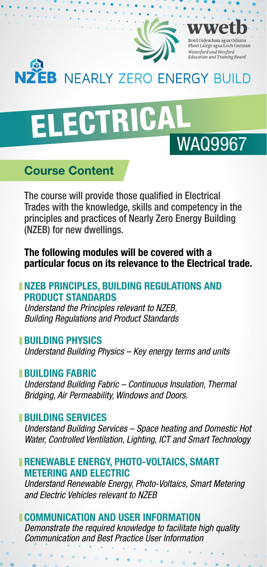

# **NZEB** NEARLY ZERO ENERGY BUILD

# ELECTRICALWAQ9967

# **Course Content**

The course will provide those qualified in Electrical Trades with the knowledge, skills and competency in the principles and practices of Nearly Zero Energy Building (NZEB) for new dwellings.

**The following modules will be covered with a particular focus on its relevance to the Electrical trade.**

#### **NZEB PRINCIPLES, BUILDING REGULATIONS AND PRODUCT STANDARDS**

*Understand the Principles relevant to NZEB, Building Regulations and Product Standards*

#### **BUILDING PHYSICS**

*Understand Building Physics – Key energy terms and units*

#### **BUILDING FABRIC**

*Understand Building Fabric – Continuous Insulation, Thermal Bridging, Air Permeability, Windows and Doors.*

#### **BUILDING SERVICES**

*Understand Building Services – Space heating and Domestic Hot Water, Controlled Ventilation, Lighting, ICT and Smart Technology*

#### **RENEWABLE ENERGY, PHOTO-VOLTAICS, SMART METERING AND ELECTRIC**

*Understand Renewable Energy, Photo-Voltaics, Smart Metering and Electric Vehicles relevant to NZEB*

#### **COMMUNICATION AND USER INFORMATION**

*Demonstrate the required knowledge to facilitate high quality Communication and Best Practice User Information*